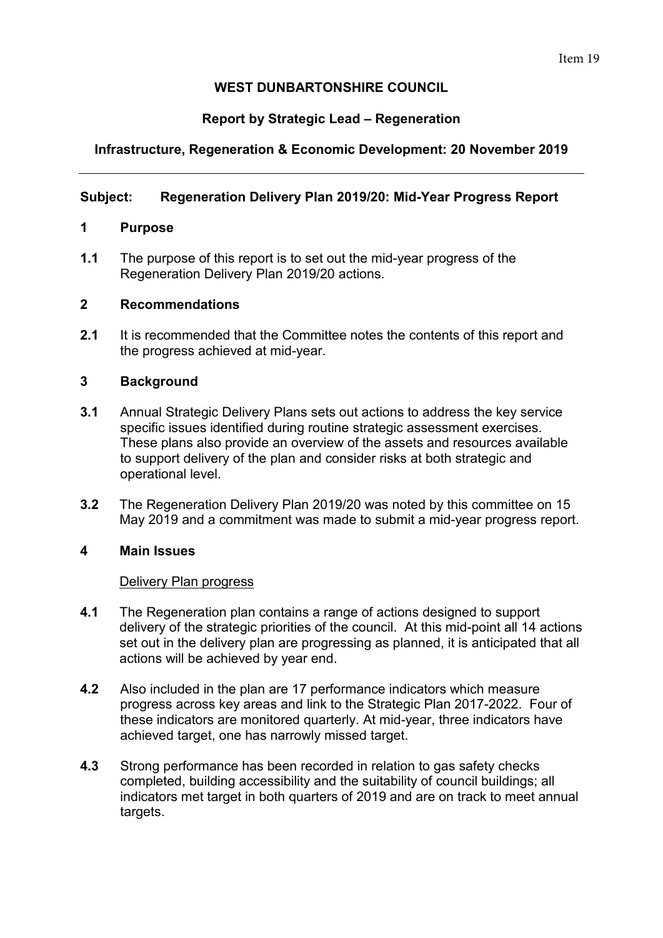# **WEST DUNBARTONSHIRE COUNCIL**

# **Report by Strategic Lead – Regeneration**

# **Infrastructure, Regeneration & Economic Development: 20 November 2019**

## **Subject: Regeneration Delivery Plan 2019/20: Mid-Year Progress Report**

## **1 Purpose**

**1.1** The purpose of this report is to set out the mid-year progress of the Regeneration Delivery Plan 2019/20 actions.

### **2 Recommendations**

**2.1** It is recommended that the Committee notes the contents of this report and the progress achieved at mid-year.

## **3 Background**

- **3.1** Annual Strategic Delivery Plans sets out actions to address the key service specific issues identified during routine strategic assessment exercises. These plans also provide an overview of the assets and resources available to support delivery of the plan and consider risks at both strategic and operational level.
- **3.2** The Regeneration Delivery Plan 2019/20 was noted by this committee on 15 May 2019 and a commitment was made to submit a mid-year progress report.

## **4 Main Issues**

#### Delivery Plan progress

- **4.1** The Regeneration plan contains a range of actions designed to support delivery of the strategic priorities of the council. At this mid-point all 14 actions set out in the delivery plan are progressing as planned, it is anticipated that all actions will be achieved by year end.
- **4.2** Also included in the plan are 17 performance indicators which measure progress across key areas and link to the Strategic Plan 2017-2022. Four of these indicators are monitored quarterly. At mid-year, three indicators have achieved target, one has narrowly missed target.
- **4.3** Strong performance has been recorded in relation to gas safety checks completed, building accessibility and the suitability of council buildings; all indicators met target in both quarters of 2019 and are on track to meet annual targets.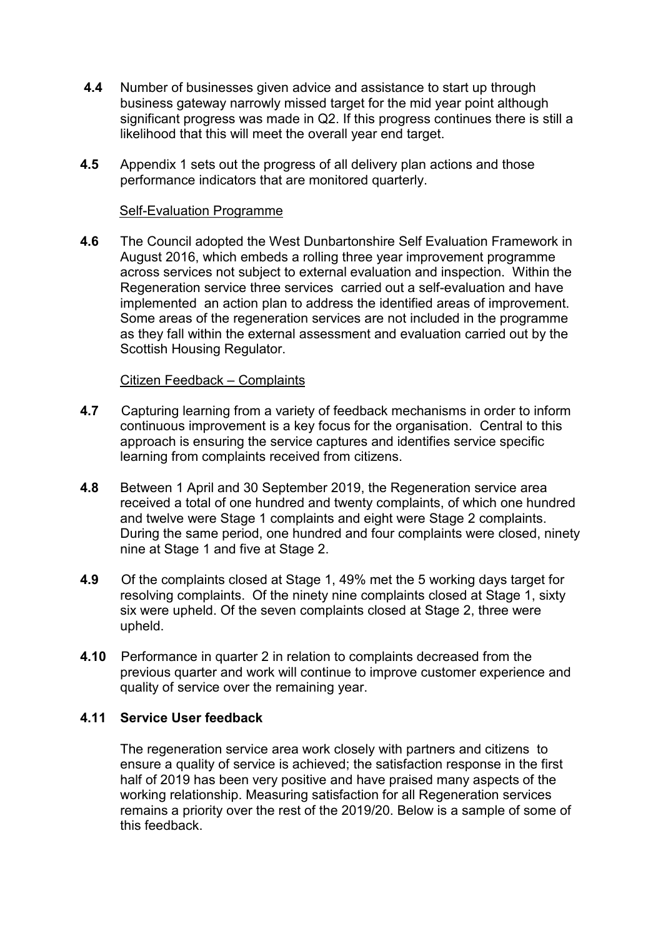- **4.4** Number of businesses given advice and assistance to start up through business gateway narrowly missed target for the mid year point although significant progress was made in Q2. If this progress continues there is still a likelihood that this will meet the overall year end target.
- **4.5** Appendix 1 sets out the progress of all delivery plan actions and those performance indicators that are monitored quarterly.

### Self-Evaluation Programme

**4.6** The Council adopted the West Dunbartonshire Self Evaluation Framework in August 2016, which embeds a rolling three year improvement programme across services not subject to external evaluation and inspection. Within the Regeneration service three services carried out a self-evaluation and have implemented an action plan to address the identified areas of improvement. Some areas of the regeneration services are not included in the programme as they fall within the external assessment and evaluation carried out by the Scottish Housing Regulator.

### Citizen Feedback – Complaints

- **4.7** Capturing learning from a variety of feedback mechanisms in order to inform continuous improvement is a key focus for the organisation. Central to this approach is ensuring the service captures and identifies service specific learning from complaints received from citizens.
- **4.8** Between 1 April and 30 September 2019, the Regeneration service area received a total of one hundred and twenty complaints, of which one hundred and twelve were Stage 1 complaints and eight were Stage 2 complaints. During the same period, one hundred and four complaints were closed, ninety nine at Stage 1 and five at Stage 2.
- **4.9** Of the complaints closed at Stage 1, 49% met the 5 working days target for resolving complaints. Of the ninety nine complaints closed at Stage 1, sixty six were upheld. Of the seven complaints closed at Stage 2, three were upheld.
- **4.10** Performance in quarter 2 in relation to complaints decreased from the previous quarter and work will continue to improve customer experience and quality of service over the remaining year.

#### **4.11 Service User feedback**

The regeneration service area work closely with partners and citizens to ensure a quality of service is achieved; the satisfaction response in the first half of 2019 has been very positive and have praised many aspects of the working relationship. Measuring satisfaction for all Regeneration services remains a priority over the rest of the 2019/20. Below is a sample of some of this feedback.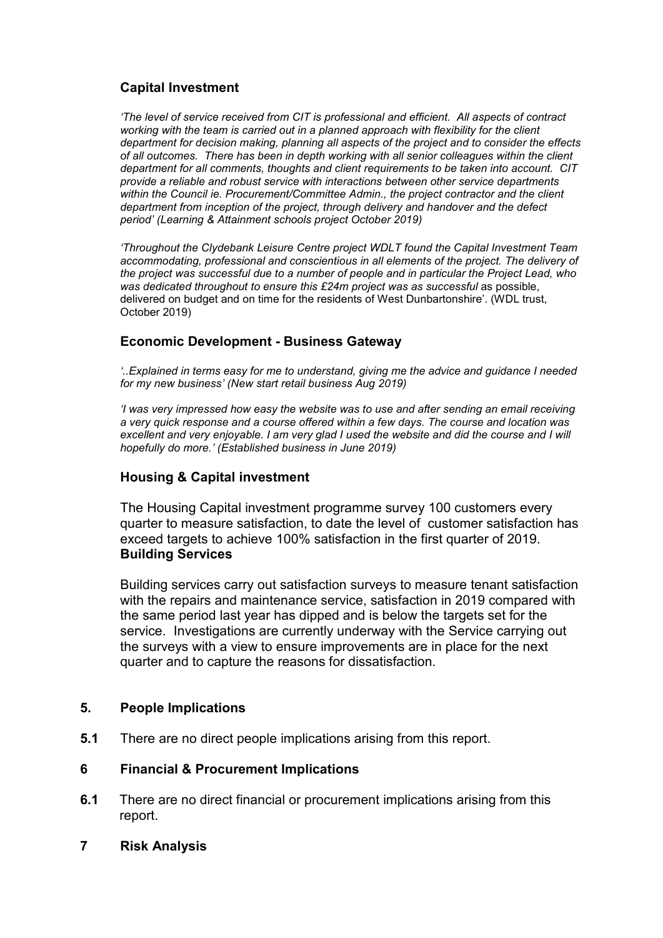# **Capital Investment**

*'The level of service received from CIT is professional and efficient. All aspects of contract working with the team is carried out in a planned approach with flexibility for the client department for decision making, planning all aspects of the project and to consider the effects of all outcomes. There has been in depth working with all senior colleagues within the client department for all comments, thoughts and client requirements to be taken into account. CIT provide a reliable and robust service with interactions between other service departments within the Council ie. Procurement/Committee Admin., the project contractor and the client department from inception of the project, through delivery and handover and the defect period' (Learning & Attainment schools project October 2019)*

*'Throughout the Clydebank Leisure Centre project WDLT found the Capital Investment Team accommodating, professional and conscientious in all elements of the project. The delivery of the project was successful due to a number of people and in particular the Project Lead, who was dedicated throughout to ensure this £24m project was as successful* as possible, delivered on budget and on time for the residents of West Dunbartonshire'. (WDL trust, October 2019)

## **Economic Development - Business Gateway**

*'..Explained in terms easy for me to understand, giving me the advice and guidance I needed for my new business' (New start retail business Aug 2019)* 

*'I was very impressed how easy the website was to use and after sending an email receiving a very quick response and a course offered within a few days. The course and location was excellent and very enjoyable. I am very glad I used the website and did the course and I will hopefully do more.' (Established business in June 2019)* 

## **Housing & Capital investment**

The Housing Capital investment programme survey 100 customers every quarter to measure satisfaction, to date the level of customer satisfaction has exceed targets to achieve 100% satisfaction in the first quarter of 2019. **Building Services** 

Building services carry out satisfaction surveys to measure tenant satisfaction with the repairs and maintenance service, satisfaction in 2019 compared with the same period last year has dipped and is below the targets set for the service. Investigations are currently underway with the Service carrying out the surveys with a view to ensure improvements are in place for the next quarter and to capture the reasons for dissatisfaction.

## **5. People Implications**

**5.1** There are no direct people implications arising from this report.

## **6 Financial & Procurement Implications**

- **6.1** There are no direct financial or procurement implications arising from this report.
- **7 Risk Analysis**